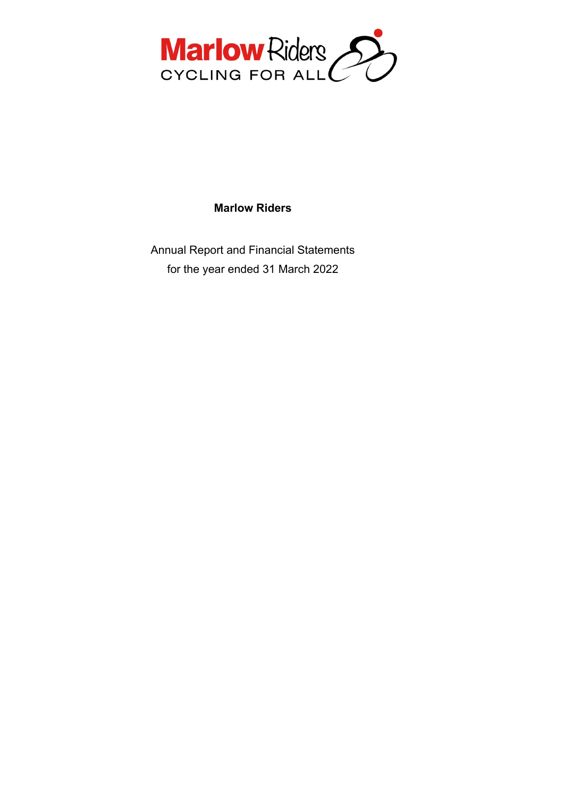

## **Marlow Riders**

Annual Report and Financial Statements for the year ended 31 March 2022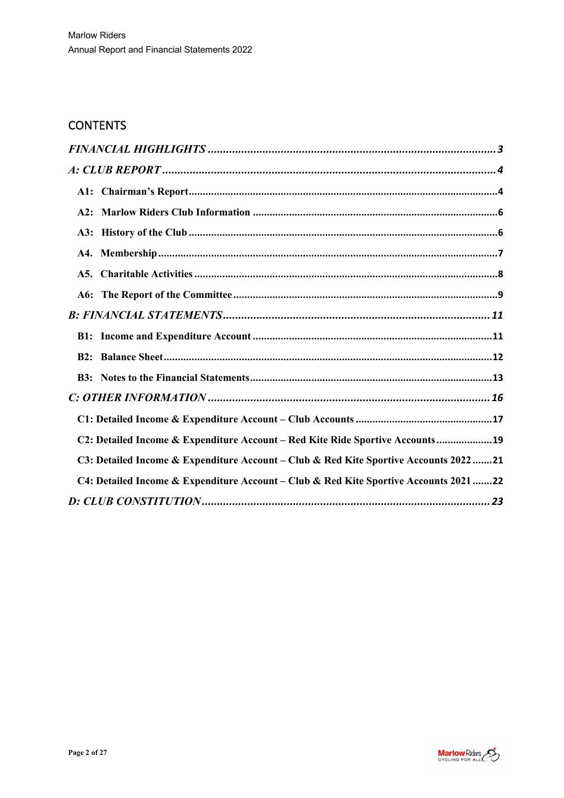# **CONTENTS**

| C2: Detailed Income & Expenditure Account - Red Kite Ride Sportive Accounts19         |
|---------------------------------------------------------------------------------------|
| C3: Detailed Income & Expenditure Account - Club & Red Kite Sportive Accounts 202221  |
| C4: Detailed Income & Expenditure Account - Club & Red Kite Sportive Accounts 2021 22 |
|                                                                                       |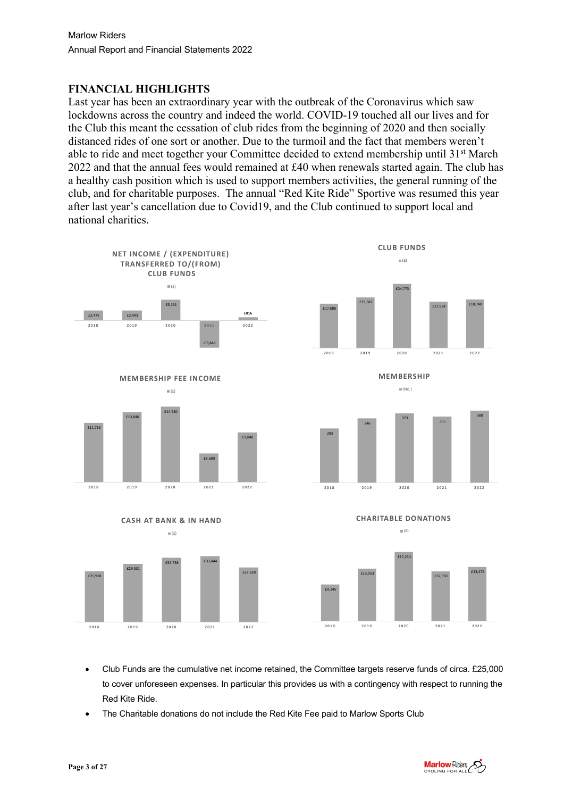## **FINANCIAL HIGHLIGHTS**

Last year has been an extraordinary year with the outbreak of the Coronavirus which saw lockdowns across the country and indeed the world. COVID-19 touched all our lives and for the Club this meant the cessation of club rides from the beginning of 2020 and then socially distanced rides of one sort or another. Due to the turmoil and the fact that members weren't able to ride and meet together your Committee decided to extend membership until 31<sup>st</sup> March 2022 and that the annual fees would remained at £40 when renewals started again. The club has a healthy cash position which is used to support members activities, the general running of the club, and for charitable purposes. The annual "Red Kite Ride" Sportive was resumed this year after last year's cancellation due to Covid19, and the Club continued to support local and national charities.







- Club Funds are the cumulative net income retained, the Committee targets reserve funds of circa. £25,000 to cover unforeseen expenses. In particular this provides us with a contingency with respect to running the Red Kite Ride.
- The Charitable donations do not include the Red Kite Fee paid to Marlow Sports Club

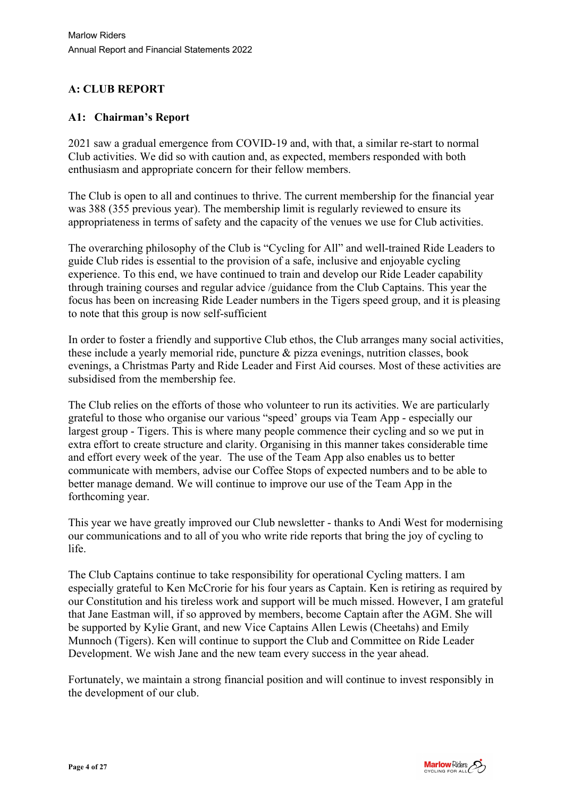## **A: CLUB REPORT**

### **A1: Chairman's Report**

2021 saw a gradual emergence from COVID-19 and, with that, a similar re-start to normal Club activities. We did so with caution and, as expected, members responded with both enthusiasm and appropriate concern for their fellow members.

The Club is open to all and continues to thrive. The current membership for the financial year was 388 (355 previous year). The membership limit is regularly reviewed to ensure its appropriateness in terms of safety and the capacity of the venues we use for Club activities.

The overarching philosophy of the Club is "Cycling for All" and well-trained Ride Leaders to guide Club rides is essential to the provision of a safe, inclusive and enjoyable cycling experience. To this end, we have continued to train and develop our Ride Leader capability through training courses and regular advice /guidance from the Club Captains. This year the focus has been on increasing Ride Leader numbers in the Tigers speed group, and it is pleasing to note that this group is now self-sufficient

In order to foster a friendly and supportive Club ethos, the Club arranges many social activities, these include a yearly memorial ride, puncture & pizza evenings, nutrition classes, book evenings, a Christmas Party and Ride Leader and First Aid courses. Most of these activities are subsidised from the membership fee.

The Club relies on the efforts of those who volunteer to run its activities. We are particularly grateful to those who organise our various "speed' groups via Team App - especially our largest group - Tigers. This is where many people commence their cycling and so we put in extra effort to create structure and clarity. Organising in this manner takes considerable time and effort every week of the year. The use of the Team App also enables us to better communicate with members, advise our Coffee Stops of expected numbers and to be able to better manage demand. We will continue to improve our use of the Team App in the forthcoming year.

This year we have greatly improved our Club newsletter - thanks to Andi West for modernising our communications and to all of you who write ride reports that bring the joy of cycling to life.

The Club Captains continue to take responsibility for operational Cycling matters. I am especially grateful to Ken McCrorie for his four years as Captain. Ken is retiring as required by our Constitution and his tireless work and support will be much missed. However, I am grateful that Jane Eastman will, if so approved by members, become Captain after the AGM. She will be supported by Kylie Grant, and new Vice Captains Allen Lewis (Cheetahs) and Emily Munnoch (Tigers). Ken will continue to support the Club and Committee on Ride Leader Development. We wish Jane and the new team every success in the year ahead.

Fortunately, we maintain a strong financial position and will continue to invest responsibly in the development of our club.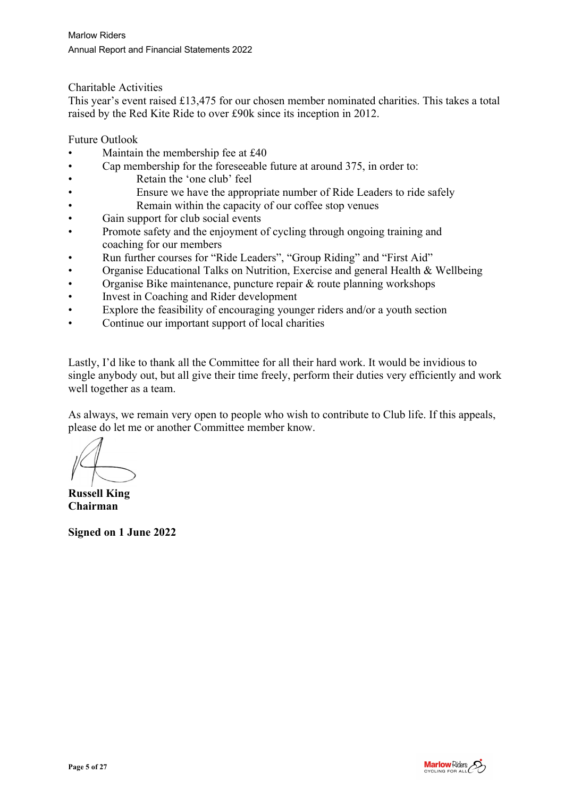Charitable Activities

This year's event raised £13,475 for our chosen member nominated charities. This takes a total raised by the Red Kite Ride to over £90k since its inception in 2012.

Future Outlook

- Maintain the membership fee at £40
- Cap membership for the foreseeable future at around 375, in order to:
- Retain the 'one club' feel
- Ensure we have the appropriate number of Ride Leaders to ride safely
- Remain within the capacity of our coffee stop venues
- Gain support for club social events
- Promote safety and the enjoyment of cycling through ongoing training and coaching for our members
- Run further courses for "Ride Leaders", "Group Riding" and "First Aid"
- Organise Educational Talks on Nutrition, Exercise and general Health & Wellbeing
- Organise Bike maintenance, puncture repair & route planning workshops
- Invest in Coaching and Rider development
- Explore the feasibility of encouraging younger riders and/or a youth section
- Continue our important support of local charities

Lastly, I'd like to thank all the Committee for all their hard work. It would be invidious to single anybody out, but all give their time freely, perform their duties very efficiently and work well together as a team.

As always, we remain very open to people who wish to contribute to Club life. If this appeals, please do let me or another Committee member know.

**Russell King Chairman**

**Signed on 1 June 2022**

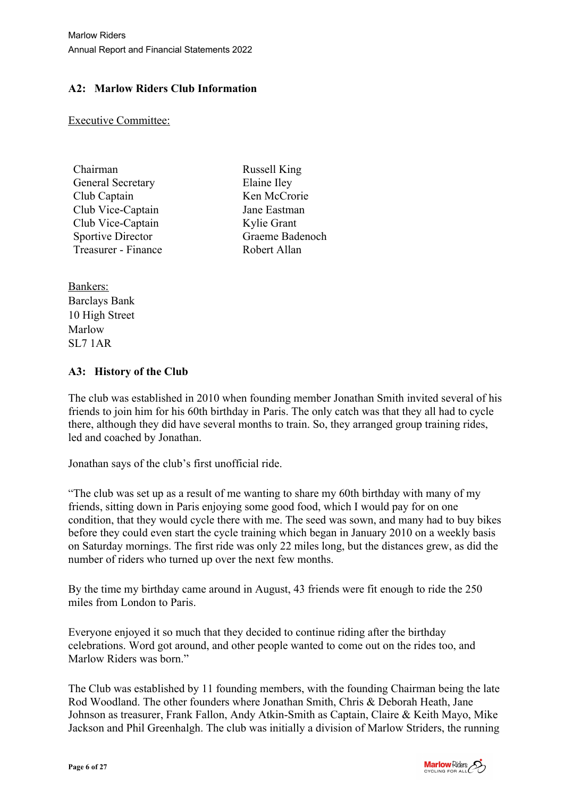## **A2: Marlow Riders Club Information**

Executive Committee:

| Chairman                 | Russell King    |
|--------------------------|-----------------|
| <b>General Secretary</b> | Elaine Iley     |
| Club Captain             | Ken McCrorie    |
| Club Vice-Captain        | Jane Eastman    |
| Club Vice-Captain        | Kylie Grant     |
| <b>Sportive Director</b> | Graeme Badenoch |
| Treasurer - Finance      | Robert Allan    |
|                          |                 |

Bankers: Barclays Bank 10 High Street Marlow SL7 1AR

### **A3: History of the Club**

The club was established in 2010 when founding member Jonathan Smith invited several of his friends to join him for his 60th birthday in Paris. The only catch was that they all had to cycle there, although they did have several months to train. So, they arranged group training rides, led and coached by Jonathan.

Jonathan says of the club's first unofficial ride.

"The club was set up as a result of me wanting to share my 60th birthday with many of my friends, sitting down in Paris enjoying some good food, which I would pay for on one condition, that they would cycle there with me. The seed was sown, and many had to buy bikes before they could even start the cycle training which began in January 2010 on a weekly basis on Saturday mornings. The first ride was only 22 miles long, but the distances grew, as did the number of riders who turned up over the next few months.

By the time my birthday came around in August, 43 friends were fit enough to ride the 250 miles from London to Paris.

Everyone enjoyed it so much that they decided to continue riding after the birthday celebrations. Word got around, and other people wanted to come out on the rides too, and Marlow Riders was born."

The Club was established by 11 founding members, with the founding Chairman being the late Rod Woodland. The other founders where Jonathan Smith, Chris & Deborah Heath, Jane Johnson as treasurer, Frank Fallon, Andy Atkin-Smith as Captain, Claire & Keith Mayo, Mike Jackson and Phil Greenhalgh. The club was initially a division of Marlow Striders, the running

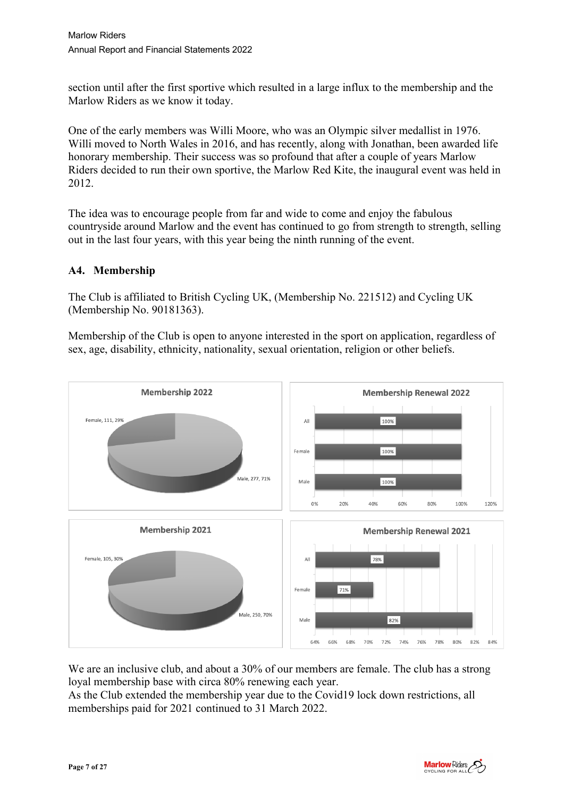section until after the first sportive which resulted in a large influx to the membership and the Marlow Riders as we know it today.

One of the early members was Willi Moore, who was an Olympic silver medallist in 1976. Willi moved to North Wales in 2016, and has recently, along with Jonathan, been awarded life honorary membership. Their success was so profound that after a couple of years Marlow Riders decided to run their own sportive, the Marlow Red Kite, the inaugural event was held in 2012.

The idea was to encourage people from far and wide to come and enjoy the fabulous countryside around Marlow and the event has continued to go from strength to strength, selling out in the last four years, with this year being the ninth running of the event.

### **A4. Membership**

The Club is affiliated to British Cycling UK, (Membership No. 221512) and Cycling UK (Membership No. 90181363).

Membership of the Club is open to anyone interested in the sport on application, regardless of sex, age, disability, ethnicity, nationality, sexual orientation, religion or other beliefs.



We are an inclusive club, and about a 30% of our members are female. The club has a strong loyal membership base with circa 80% renewing each year.

As the Club extended the membership year due to the Covid19 lock down restrictions, all memberships paid for 2021 continued to 31 March 2022.

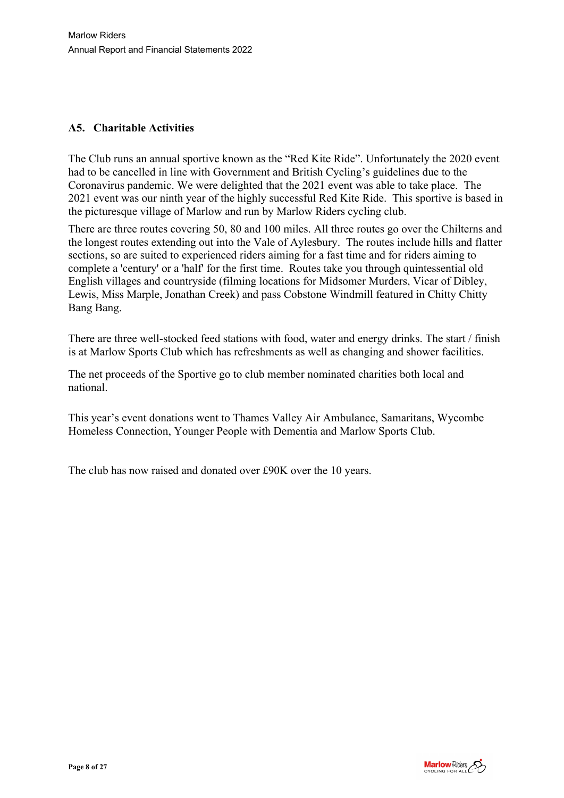### **A5. Charitable Activities**

The Club runs an annual sportive known as the "Red Kite Ride". Unfortunately the 2020 event had to be cancelled in line with Government and British Cycling's guidelines due to the Coronavirus pandemic. We were delighted that the 2021 event was able to take place. The 2021 event was our ninth year of the highly successful Red Kite Ride. This sportive is based in the picturesque village of Marlow and run by Marlow Riders cycling club.

There are three routes covering 50, 80 and 100 miles. All three routes go over the Chilterns and the longest routes extending out into the Vale of Aylesbury. The routes include hills and flatter sections, so are suited to experienced riders aiming for a fast time and for riders aiming to complete a 'century' or a 'half' for the first time. Routes take you through quintessential old English villages and countryside (filming locations for Midsomer Murders, Vicar of Dibley, Lewis, Miss Marple, Jonathan Creek) and pass Cobstone Windmill featured in Chitty Chitty Bang Bang.

There are three well-stocked feed stations with food, water and energy drinks. The start / finish is at Marlow Sports Club which has refreshments as well as changing and shower facilities.

The net proceeds of the Sportive go to club member nominated charities both local and national.

This year's event donations went to Thames Valley Air Ambulance, Samaritans, Wycombe Homeless Connection, Younger People with Dementia and Marlow Sports Club.

The club has now raised and donated over £90K over the 10 years.

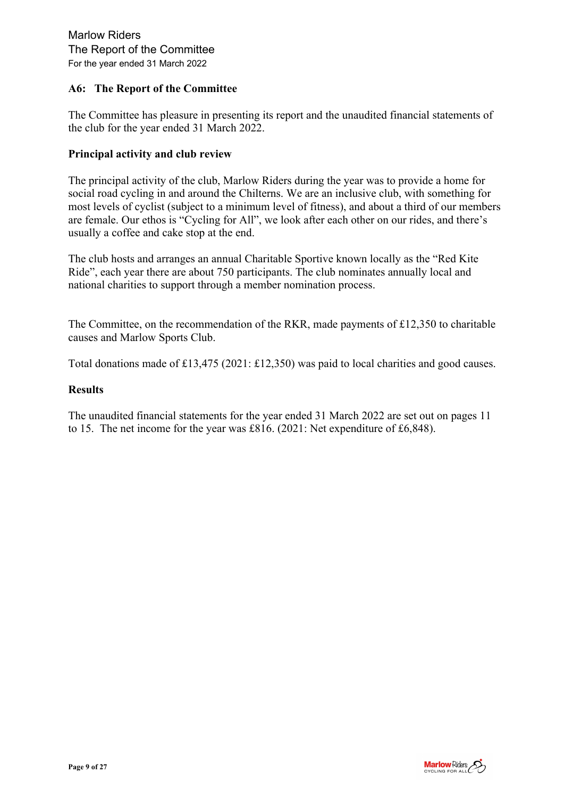#### **A6: The Report of the Committee**

The Committee has pleasure in presenting its report and the unaudited financial statements of the club for the year ended 31 March 2022.

#### **Principal activity and club review**

The principal activity of the club, Marlow Riders during the year was to provide a home for social road cycling in and around the Chilterns. We are an inclusive club, with something for most levels of cyclist (subject to a minimum level of fitness), and about a third of our members are female. Our ethos is "Cycling for All", we look after each other on our rides, and there's usually a coffee and cake stop at the end.

The club hosts and arranges an annual Charitable Sportive known locally as the "Red Kite Ride", each year there are about 750 participants. The club nominates annually local and national charities to support through a member nomination process.

The Committee, on the recommendation of the RKR, made payments of £12,350 to charitable causes and Marlow Sports Club.

Total donations made of £13,475 (2021: £12,350) was paid to local charities and good causes.

#### **Results**

The unaudited financial statements for the year ended 31 March 2022 are set out on pages 11 to 15. The net income for the year was £816. (2021: Net expenditure of £6,848).

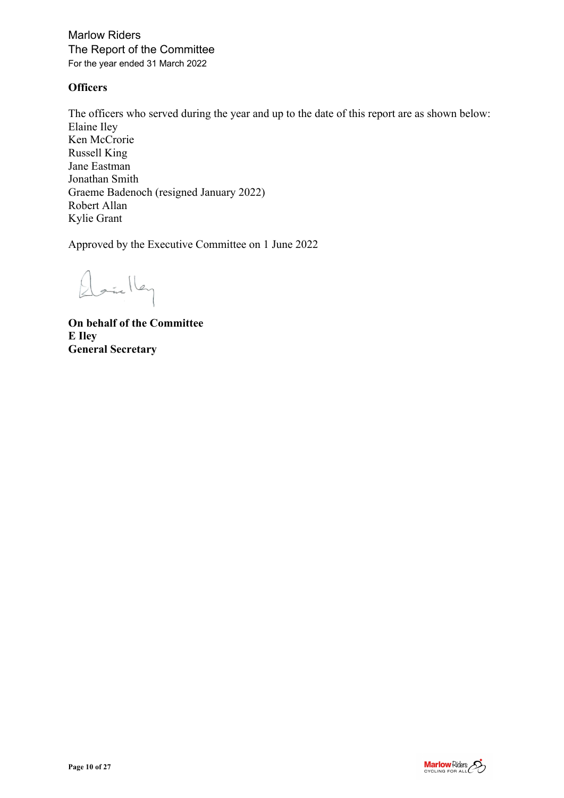Marlow Riders The Report of the Committee For the year ended 31 March 2022

#### **Officers**

The officers who served during the year and up to the date of this report are as shown below: Elaine Iley Ken McCrorie Russell King Jane Eastman Jonathan Smith Graeme Badenoch (resigned January 2022) Robert Allan Kylie Grant

Approved by the Executive Committee on 1 June 2022

Daielley

**On behalf of the Committee E Iley General Secretary**

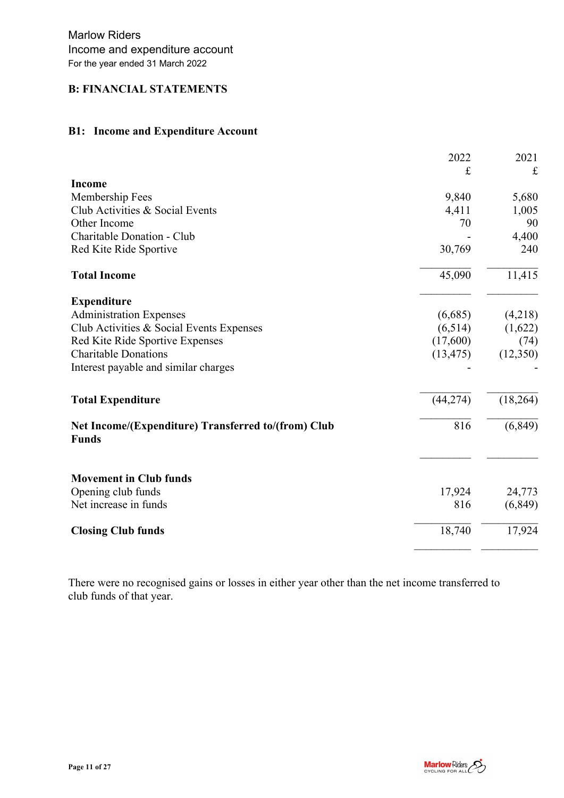### **B: FINANCIAL STATEMENTS**

## **B1: Income and Expenditure Account**

|                                                                     | 2022      | 2021     |
|---------------------------------------------------------------------|-----------|----------|
|                                                                     | £         | £        |
| <b>Income</b>                                                       |           |          |
| Membership Fees                                                     | 9,840     | 5,680    |
| Club Activities & Social Events                                     | 4,411     | 1,005    |
| Other Income                                                        | 70        | 90       |
| Charitable Donation - Club                                          |           | 4,400    |
| Red Kite Ride Sportive                                              | 30,769    | 240      |
| <b>Total Income</b>                                                 | 45,090    | 11,415   |
| <b>Expenditure</b>                                                  |           |          |
| <b>Administration Expenses</b>                                      | (6,685)   | (4,218)  |
| Club Activities & Social Events Expenses                            | (6,514)   | (1,622)  |
| Red Kite Ride Sportive Expenses                                     | (17,600)  | (74)     |
| <b>Charitable Donations</b>                                         | (13, 475) | (12,350) |
| Interest payable and similar charges                                |           |          |
| <b>Total Expenditure</b>                                            | (44, 274) | (18,264) |
| Net Income/(Expenditure) Transferred to/(from) Club<br><b>Funds</b> | 816       | (6, 849) |
| <b>Movement in Club funds</b>                                       |           |          |
| Opening club funds                                                  | 17,924    | 24,773   |
| Net increase in funds                                               | 816       | (6, 849) |
| <b>Closing Club funds</b>                                           | 18,740    | 17,924   |

There were no recognised gains or losses in either year other than the net income transferred to club funds of that year.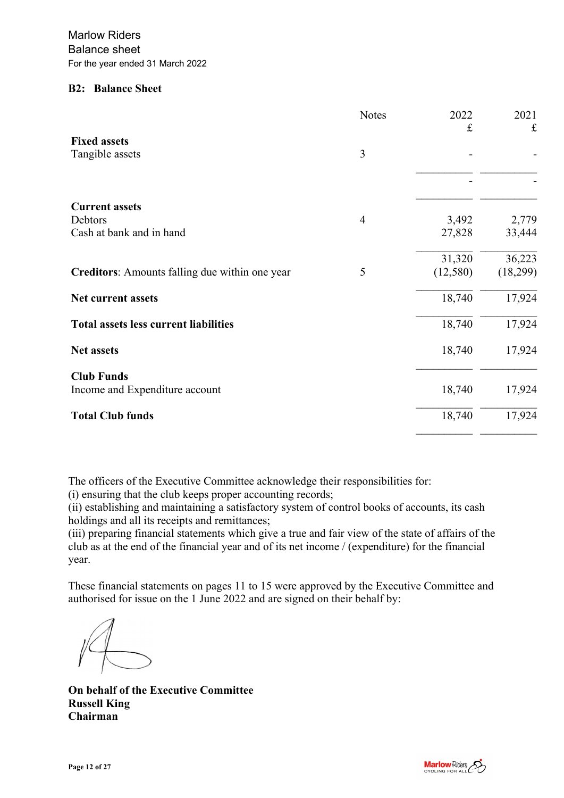#### **B2: Balance Sheet**

|                                                | <b>Notes</b>   | 2022<br>$\pounds$ | 2021<br>$\pounds$ |
|------------------------------------------------|----------------|-------------------|-------------------|
| <b>Fixed assets</b>                            |                |                   |                   |
| Tangible assets                                | 3              |                   |                   |
|                                                |                |                   |                   |
| <b>Current assets</b>                          |                |                   |                   |
| Debtors                                        | $\overline{4}$ | 3,492             | 2,779             |
| Cash at bank and in hand                       |                | 27,828            | 33,444            |
|                                                |                | 31,320            | 36,223            |
| Creditors: Amounts falling due within one year | 5              | (12,580)          | (18,299)          |
| Net current assets                             |                | 18,740            | 17,924            |
| <b>Total assets less current liabilities</b>   |                | 18,740            | 17,924            |
| <b>Net assets</b>                              |                | 18,740            | 17,924            |
| <b>Club Funds</b>                              |                |                   |                   |
| Income and Expenditure account                 |                | 18,740            | 17,924            |
| <b>Total Club funds</b>                        |                | 18,740            | 17,924            |

The officers of the Executive Committee acknowledge their responsibilities for:

(i) ensuring that the club keeps proper accounting records;

(ii) establishing and maintaining a satisfactory system of control books of accounts, its cash holdings and all its receipts and remittances;

(iii) preparing financial statements which give a true and fair view of the state of affairs of the club as at the end of the financial year and of its net income / (expenditure) for the financial year.

These financial statements on pages 11 to 15 were approved by the Executive Committee and authorised for issue on the 1 June 2022 and are signed on their behalf by:

**On behalf of the Executive Committee Russell King Chairman**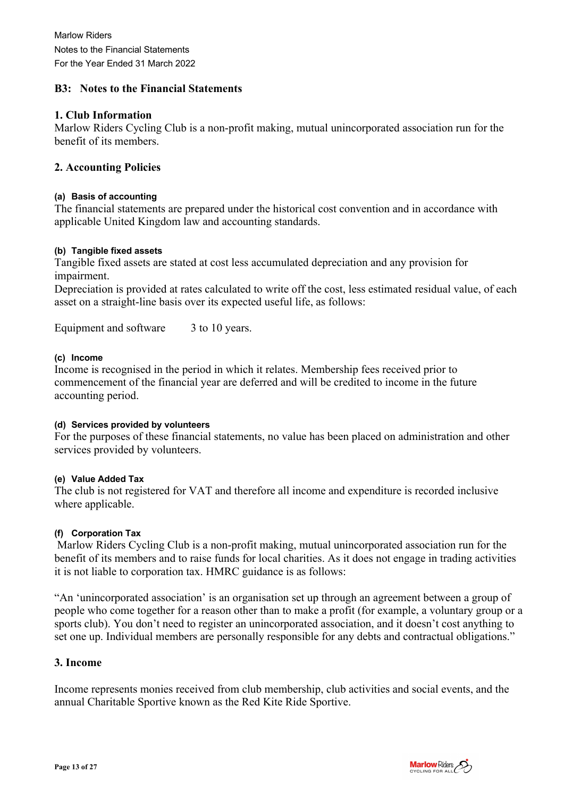#### **B3: Notes to the Financial Statements**

#### **1. Club Information**

Marlow Riders Cycling Club is a non-profit making, mutual unincorporated association run for the benefit of its members.

#### **2. Accounting Policies**

#### **(a) Basis of accounting**

The financial statements are prepared under the historical cost convention and in accordance with applicable United Kingdom law and accounting standards.

#### **(b) Tangible fixed assets**

Tangible fixed assets are stated at cost less accumulated depreciation and any provision for impairment.

Depreciation is provided at rates calculated to write off the cost, less estimated residual value, of each asset on a straight-line basis over its expected useful life, as follows:

Equipment and software 3 to 10 years.

#### **(c) Income**

Income is recognised in the period in which it relates. Membership fees received prior to commencement of the financial year are deferred and will be credited to income in the future accounting period.

#### **(d) Services provided by volunteers**

For the purposes of these financial statements, no value has been placed on administration and other services provided by volunteers.

#### **(e) Value Added Tax**

The club is not registered for VAT and therefore all income and expenditure is recorded inclusive where applicable.

#### **(f) Corporation Tax**

Marlow Riders Cycling Club is a non-profit making, mutual unincorporated association run for the benefit of its members and to raise funds for local charities. As it does not engage in trading activities it is not liable to corporation tax. HMRC guidance is as follows:

"An 'unincorporated association' is an organisation set up through an agreement between a group of people who come together for a reason other than to make a profit (for example, a voluntary group or a sports club). You don't need to register an unincorporated association, and it doesn't cost anything to set one up. Individual members are personally responsible for any debts and contractual obligations."

#### **3. Income**

Income represents monies received from club membership, club activities and social events, and the annual Charitable Sportive known as the Red Kite Ride Sportive.

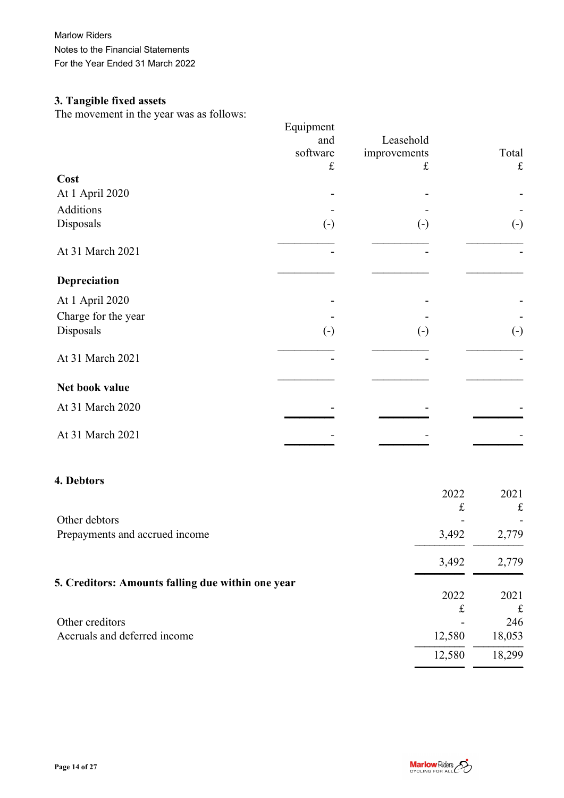Marlow Riders Notes to the Financial Statements For the Year Ended 31 March 2022

# **3. Tangible fixed assets**

The movement in the year was as follows:

|                     | Equipment              |                            |                   |
|---------------------|------------------------|----------------------------|-------------------|
|                     | and                    | Leasehold                  |                   |
|                     | software               | improvements               | Total             |
|                     | £                      | £                          | $\pounds$         |
| Cost                |                        |                            |                   |
| At 1 April 2020     |                        |                            |                   |
| Additions           |                        |                            |                   |
| Disposals           | $\left( \cdot \right)$ | $\left( \mathbf{-}\right)$ | $\left( -\right)$ |
| At 31 March 2021    |                        |                            |                   |
| Depreciation        |                        |                            |                   |
| At 1 April 2020     |                        |                            |                   |
| Charge for the year |                        |                            |                   |
| Disposals           | $\left( -\right)$      | $\left( \cdot \right)$     | $\left( -\right)$ |
| At 31 March 2021    |                        |                            |                   |
| Net book value      |                        |                            |                   |
| At 31 March 2020    |                        |                            |                   |
| At 31 March 2021    |                        |                            |                   |

#### **4. Debtors**

|                                                   | 2022   | 2021        |
|---------------------------------------------------|--------|-------------|
|                                                   | £      | $\mathbf f$ |
| Other debtors                                     |        |             |
| Prepayments and accrued income                    | 3,492  | 2,779       |
|                                                   | 3,492  | 2,779       |
| 5. Creditors: Amounts falling due within one year |        |             |
|                                                   | 2022   | 2021        |
|                                                   | £      | £           |
| Other creditors                                   |        | 246         |
| Accruals and deferred income                      | 12,580 | 18,053      |
|                                                   | 12,580 | 18,299      |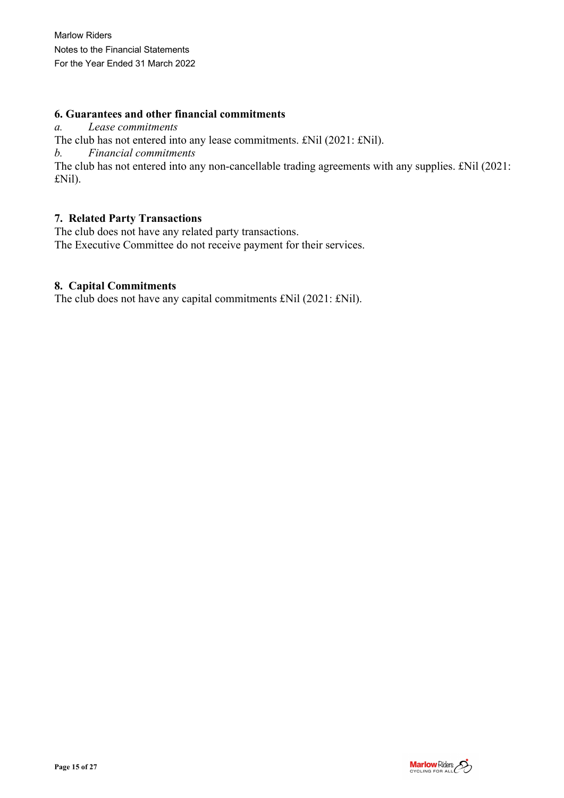### **6. Guarantees and other financial commitments**

*a. Lease commitments*

The club has not entered into any lease commitments. £Nil (2021: £Nil).

*b. Financial commitments*

The club has not entered into any non-cancellable trading agreements with any supplies. £Nil (2021: £Nil).

#### **7. Related Party Transactions**

The club does not have any related party transactions. The Executive Committee do not receive payment for their services.

### **8. Capital Commitments**

The club does not have any capital commitments £Nil (2021: £Nil).

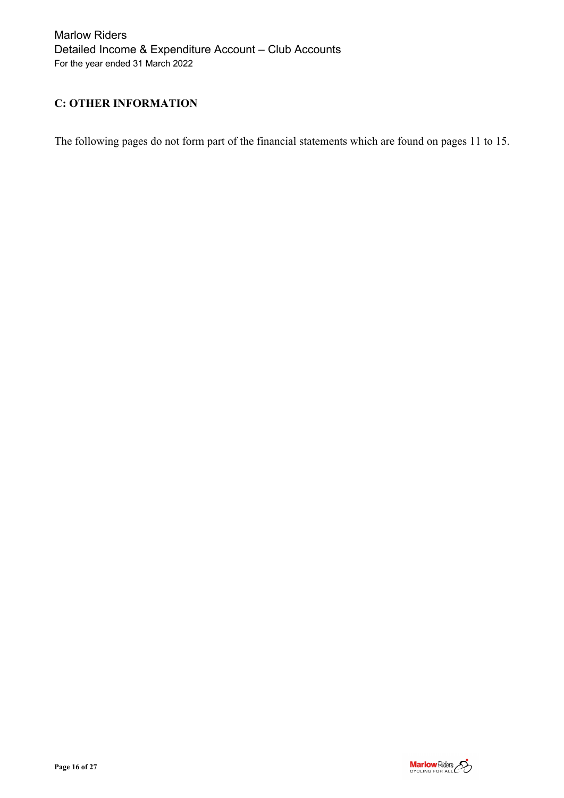Marlow Riders Detailed Income & Expenditure Account – Club Accounts For the year ended 31 March 2022

### **C: OTHER INFORMATION**

The following pages do not form part of the financial statements which are found on pages 11 to 15.

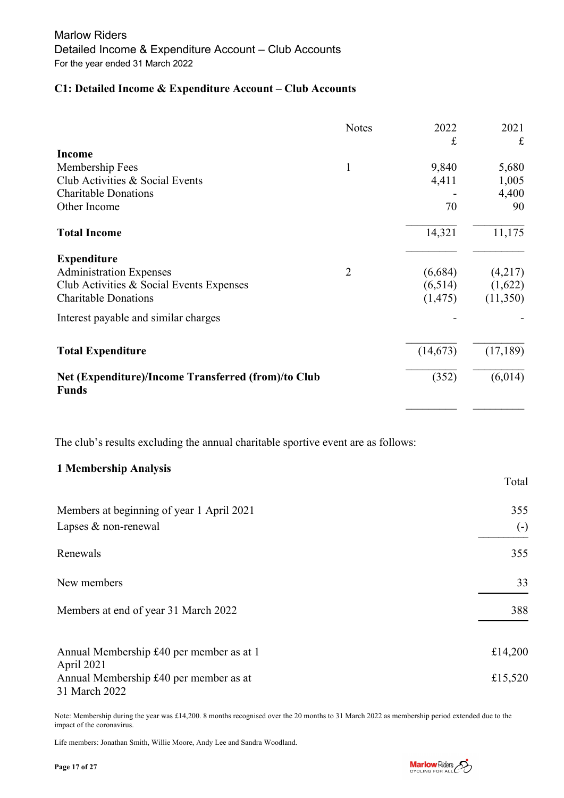#### **C1: Detailed Income & Expenditure Account – Club Accounts**

|                                                                     | <b>Notes</b>   | 2022<br>£ | 2021<br>£ |
|---------------------------------------------------------------------|----------------|-----------|-----------|
| <b>Income</b>                                                       |                |           |           |
| Membership Fees                                                     | $\mathbf{1}$   | 9,840     | 5,680     |
| Club Activities & Social Events                                     |                | 4,411     | 1,005     |
| <b>Charitable Donations</b>                                         |                |           | 4,400     |
| Other Income                                                        |                | 70        | 90        |
| <b>Total Income</b>                                                 |                | 14,321    | 11,175    |
| <b>Expenditure</b>                                                  |                |           |           |
| <b>Administration Expenses</b>                                      | $\overline{2}$ | (6,684)   | (4,217)   |
| Club Activities & Social Events Expenses                            |                | (6,514)   | (1,622)   |
| <b>Charitable Donations</b>                                         |                | (1, 475)  | (11,350)  |
| Interest payable and similar charges                                |                |           |           |
| <b>Total Expenditure</b>                                            |                | (14, 673) | (17, 189) |
| Net (Expenditure)/Income Transferred (from)/to Club<br><b>Funds</b> |                | (352)     | (6,014)   |

The club's results excluding the annual charitable sportive event are as follows:

#### **1 Membership Analysis**

|                                                         | Total             |
|---------------------------------------------------------|-------------------|
| Members at beginning of year 1 April 2021               | 355               |
| Lapses & non-renewal                                    | $\left( -\right)$ |
| Renewals                                                | 355               |
| New members                                             | 33                |
| Members at end of year 31 March 2022                    | 388               |
| Annual Membership £40 per member as at 1<br>April 2021  | £14,200           |
| Annual Membership £40 per member as at<br>31 March 2022 | £15,520           |

Note: Membership during the year was £14,200. 8 months recognised over the 20 months to 31 March 2022 as membership period extended due to the impact of the coronavirus.

Life members: Jonathan Smith, Willie Moore, Andy Lee and Sandra Woodland.

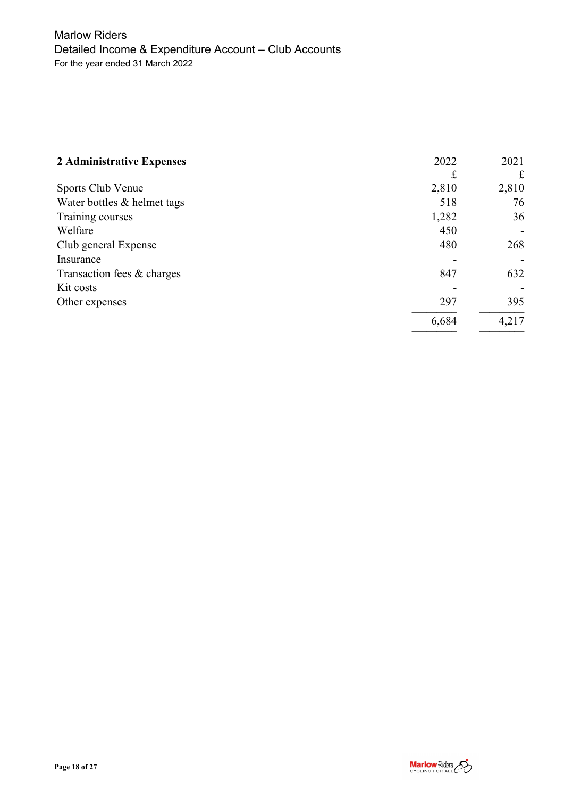| 2 Administrative Expenses   | 2022  | 2021  |
|-----------------------------|-------|-------|
|                             | £     | £     |
| Sports Club Venue           | 2,810 | 2,810 |
| Water bottles & helmet tags | 518   | 76    |
| Training courses            | 1,282 | 36    |
| Welfare                     | 450   |       |
| Club general Expense        | 480   | 268   |
| Insurance                   |       |       |
| Transaction fees & charges  | 847   | 632   |
| Kit costs                   |       |       |
| Other expenses              | 297   | 395   |
|                             | 6,684 | 4,217 |

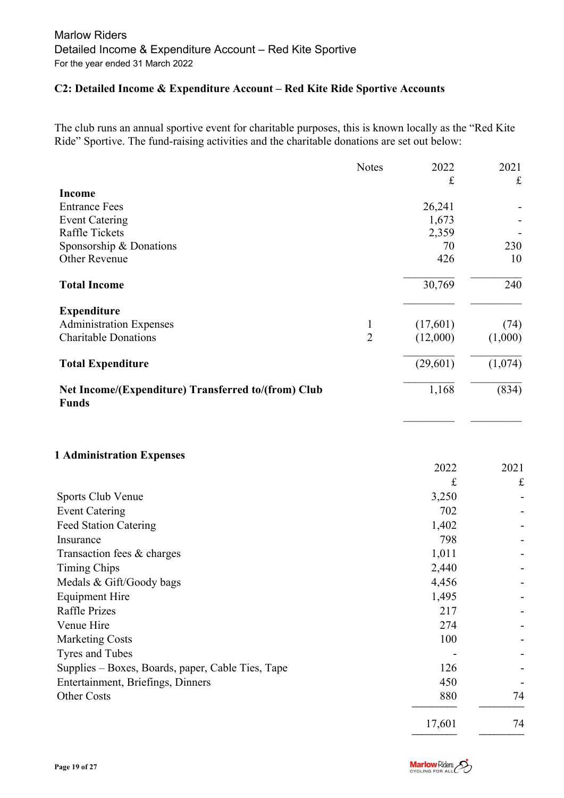### **C2: Detailed Income & Expenditure Account – Red Kite Ride Sportive Accounts**

The club runs an annual sportive event for charitable purposes, this is known locally as the "Red Kite Ride" Sportive. The fund-raising activities and the charitable donations are set out below:

|                                                                     | <b>Notes</b>   | 2022         | 2021        |
|---------------------------------------------------------------------|----------------|--------------|-------------|
| <b>Income</b>                                                       |                | £            | $\mathbf f$ |
| <b>Entrance Fees</b>                                                |                | 26,241       |             |
| <b>Event Catering</b>                                               |                | 1,673        |             |
| <b>Raffle Tickets</b>                                               |                | 2,359        |             |
| Sponsorship & Donations                                             |                | 70           | 230         |
| <b>Other Revenue</b>                                                |                | 426          | 10          |
| <b>Total Income</b>                                                 |                | 30,769       | 240         |
| <b>Expenditure</b>                                                  |                |              |             |
| <b>Administration Expenses</b>                                      | 1              | (17,601)     | (74)        |
| <b>Charitable Donations</b>                                         | $\overline{2}$ | (12,000)     | (1,000)     |
| <b>Total Expenditure</b>                                            |                | (29,601)     | (1,074)     |
| Net Income/(Expenditure) Transferred to/(from) Club<br><b>Funds</b> |                | 1,168        | (834)       |
| <b>1 Administration Expenses</b>                                    |                |              |             |
|                                                                     |                | 2022         | 2021        |
|                                                                     |                | £            | $\pounds$   |
| Sports Club Venue                                                   |                | 3,250        |             |
| <b>Event Catering</b>                                               |                | 702          |             |
| <b>Feed Station Catering</b><br>Insurance                           |                | 1,402        |             |
| Transaction fees & charges                                          |                | 798<br>1,011 |             |
| <b>Timing Chips</b>                                                 |                | 2,440        |             |
| Medals & Gift/Goody bags                                            |                | 4,456        |             |
| <b>Equipment Hire</b>                                               |                | 1,495        |             |
| <b>Raffle Prizes</b>                                                |                | 217          |             |
| Venue Hire                                                          |                | 274          |             |
| <b>Marketing Costs</b>                                              |                | 100          |             |
| Tyres and Tubes                                                     |                |              |             |
| Supplies - Boxes, Boards, paper, Cable Ties, Tape                   |                | 126          |             |
| Entertainment, Briefings, Dinners                                   |                | 450          |             |
| Other Costs                                                         |                | 880          | 74          |
|                                                                     |                | 17,601       | 74          |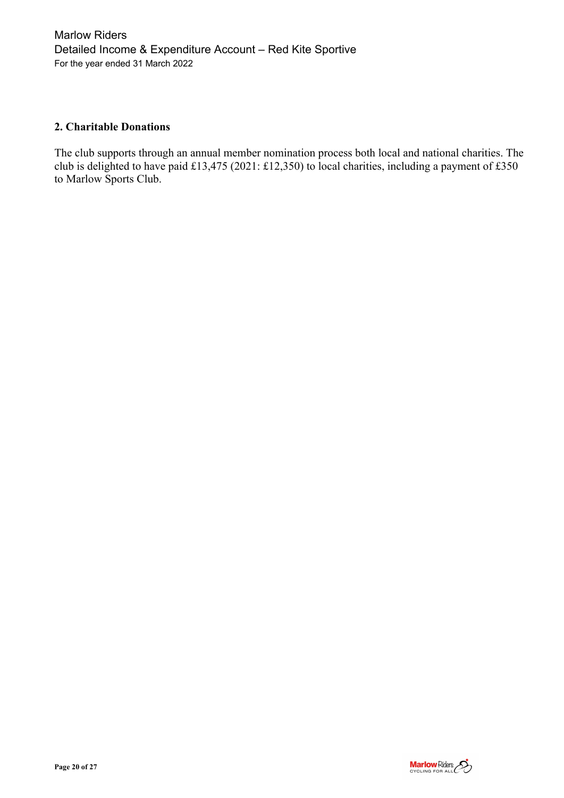### **2. Charitable Donations**

The club supports through an annual member nomination process both local and national charities. The club is delighted to have paid £13,475 (2021: £12,350) to local charities, including a payment of £350 to Marlow Sports Club.

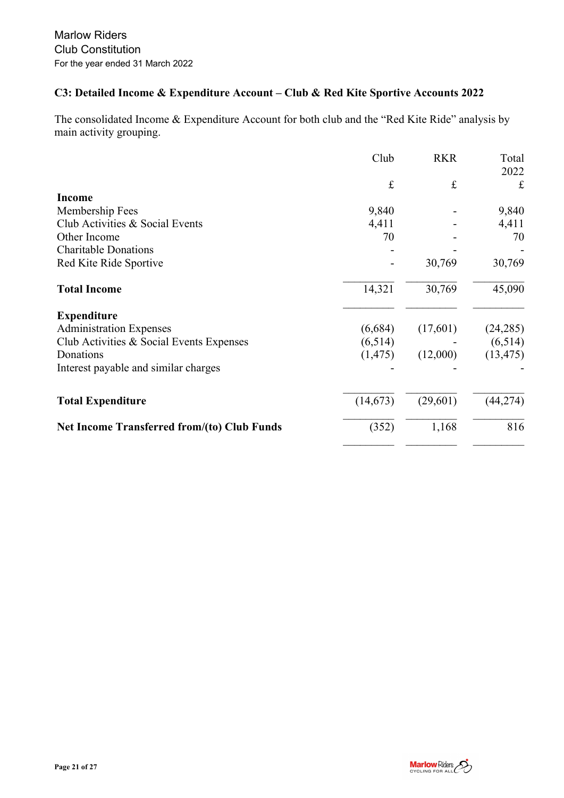## **C3: Detailed Income & Expenditure Account – Club & Red Kite Sportive Accounts 2022**

The consolidated Income & Expenditure Account for both club and the "Red Kite Ride" analysis by main activity grouping.

|                                                    | Club      | <b>RKR</b> | Total     |
|----------------------------------------------------|-----------|------------|-----------|
|                                                    | $\pounds$ | $\pounds$  | 2022<br>£ |
| Income                                             |           |            |           |
| Membership Fees                                    | 9,840     |            | 9,840     |
| Club Activities & Social Events                    | 4,411     |            | 4,411     |
| Other Income                                       | 70        |            | 70        |
| <b>Charitable Donations</b>                        |           |            |           |
| Red Kite Ride Sportive                             |           | 30,769     | 30,769    |
| <b>Total Income</b>                                | 14,321    | 30,769     | 45,090    |
| <b>Expenditure</b>                                 |           |            |           |
| <b>Administration Expenses</b>                     | (6,684)   | (17,601)   | (24, 285) |
| Club Activities & Social Events Expenses           | (6,514)   |            | (6,514)   |
| Donations                                          | (1, 475)  | (12,000)   | (13, 475) |
| Interest payable and similar charges               |           |            |           |
| <b>Total Expenditure</b>                           | (14, 673) | (29,601)   | (44, 274) |
|                                                    |           |            |           |
| <b>Net Income Transferred from/(to) Club Funds</b> | (352)     | 1,168      | 816       |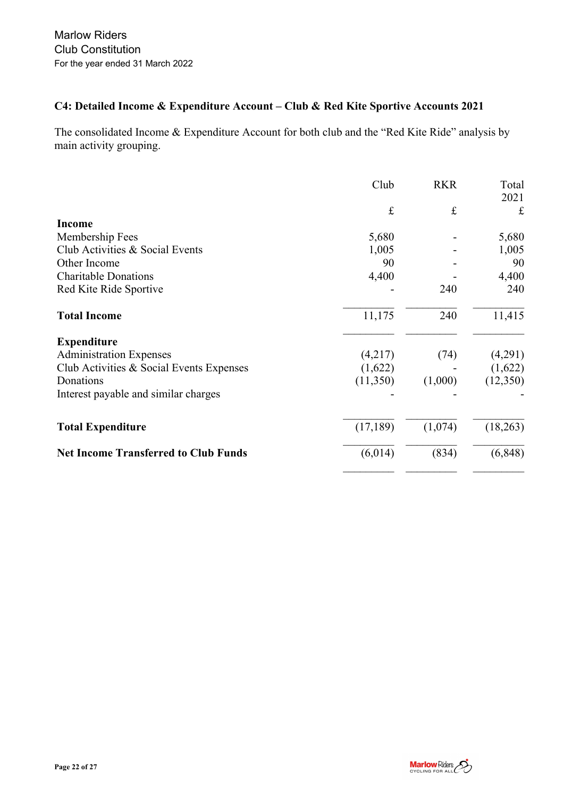## **C4: Detailed Income & Expenditure Account – Club & Red Kite Sportive Accounts 2021**

The consolidated Income & Expenditure Account for both club and the "Red Kite Ride" analysis by main activity grouping.

|                                             | Club      | <b>RKR</b> | Total<br>2021 |
|---------------------------------------------|-----------|------------|---------------|
|                                             | $\pounds$ | $\pounds$  | $\mathbf f$   |
| <b>Income</b>                               |           |            |               |
| Membership Fees                             | 5,680     |            | 5,680         |
| Club Activities & Social Events             | 1,005     |            | 1,005         |
| Other Income                                | 90        |            | 90            |
| <b>Charitable Donations</b>                 | 4,400     |            | 4,400         |
| Red Kite Ride Sportive                      |           | 240        | 240           |
| <b>Total Income</b>                         | 11,175    | 240        | 11,415        |
| <b>Expenditure</b>                          |           |            |               |
| <b>Administration Expenses</b>              | (4,217)   | (74)       | (4,291)       |
| Club Activities & Social Events Expenses    | (1,622)   |            | (1,622)       |
| Donations                                   | (11,350)  | (1,000)    | (12,350)      |
| Interest payable and similar charges        |           |            |               |
| <b>Total Expenditure</b>                    | (17, 189) | (1,074)    | (18,263)      |
| <b>Net Income Transferred to Club Funds</b> | (6,014)   | (834)      | (6, 848)      |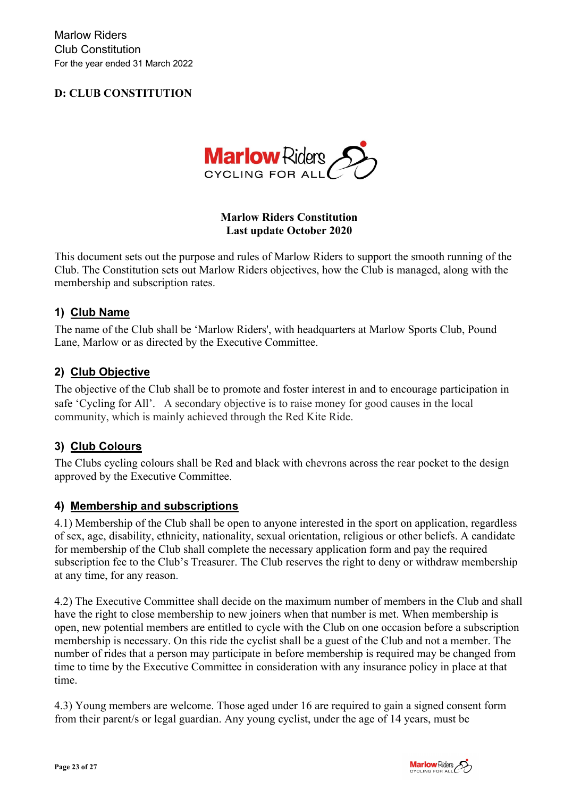## **D: CLUB CONSTITUTION**



### **Marlow Riders Constitution Last update October 2020**

This document sets out the purpose and rules of Marlow Riders to support the smooth running of the Club. The Constitution sets out Marlow Riders objectives, how the Club is managed, along with the membership and subscription rates.

### **1) Club Name**

The name of the Club shall be 'Marlow Riders', with headquarters at Marlow Sports Club, Pound Lane, Marlow or as directed by the Executive Committee.

### **2) Club Objective**

The objective of the Club shall be to promote and foster interest in and to encourage participation in safe 'Cycling for All'. A secondary objective is to raise money for good causes in the local community, which is mainly achieved through the Red Kite Ride.

### **3) Club Colours**

The Clubs cycling colours shall be Red and black with chevrons across the rear pocket to the design approved by the Executive Committee.

### **4) Membership and subscriptions**

4.1) Membership of the Club shall be open to anyone interested in the sport on application, regardless of sex, age, disability, ethnicity, nationality, sexual orientation, religious or other beliefs. A candidate for membership of the Club shall complete the necessary application form and pay the required subscription fee to the Club's Treasurer. The Club reserves the right to deny or withdraw membership at any time, for any reason.

4.2) The Executive Committee shall decide on the maximum number of members in the Club and shall have the right to close membership to new joiners when that number is met. When membership is open, new potential members are entitled to cycle with the Club on one occasion before a subscription membership is necessary. On this ride the cyclist shall be a guest of the Club and not a member. The number of rides that a person may participate in before membership is required may be changed from time to time by the Executive Committee in consideration with any insurance policy in place at that time.

4.3) Young members are welcome. Those aged under 16 are required to gain a signed consent form from their parent/s or legal guardian. Any young cyclist, under the age of 14 years, must be

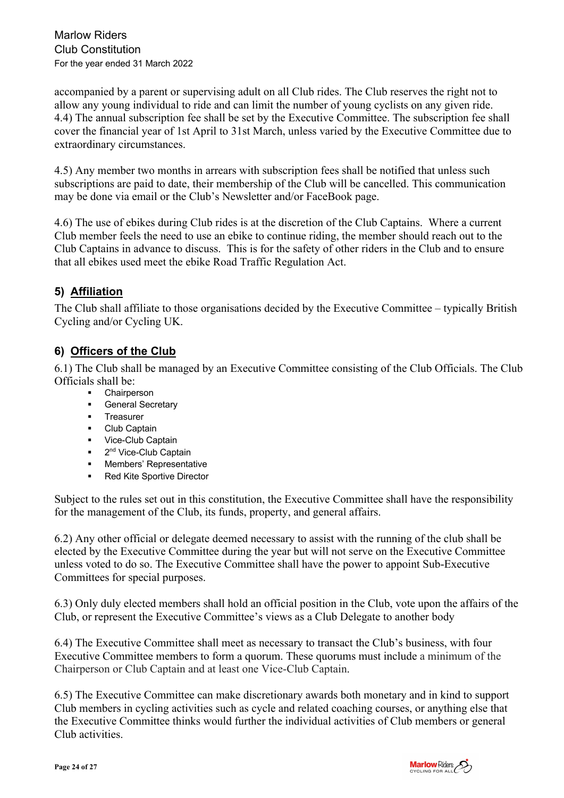accompanied by a parent or supervising adult on all Club rides. The Club reserves the right not to allow any young individual to ride and can limit the number of young cyclists on any given ride. 4.4) The annual subscription fee shall be set by the Executive Committee. The subscription fee shall cover the financial year of 1st April to 31st March, unless varied by the Executive Committee due to extraordinary circumstances.

4.5) Any member two months in arrears with subscription fees shall be notified that unless such subscriptions are paid to date, their membership of the Club will be cancelled. This communication may be done via email or the Club's Newsletter and/or FaceBook page.

4.6) The use of ebikes during Club rides is at the discretion of the Club Captains. Where a current Club member feels the need to use an ebike to continue riding, the member should reach out to the Club Captains in advance to discuss. This is for the safety of other riders in the Club and to ensure that all ebikes used meet the ebike Road Traffic Regulation Act.

## **5) Affiliation**

The Club shall affiliate to those organisations decided by the Executive Committee – typically British Cycling and/or Cycling UK.

## **6) Officers of the Club**

6.1) The Club shall be managed by an Executive Committee consisting of the Club Officials. The Club Officials shall be:

- ! Chairperson
- **General Secretary**
- ! Treasurer
- **-** Club Captain
- **·** Vice-Club Captain
- $\blacksquare$  2<sup>nd</sup> Vice-Club Captain
- **E** Members' Representative
- **Red Kite Sportive Director**

Subject to the rules set out in this constitution, the Executive Committee shall have the responsibility for the management of the Club, its funds, property, and general affairs.

6.2) Any other official or delegate deemed necessary to assist with the running of the club shall be elected by the Executive Committee during the year but will not serve on the Executive Committee unless voted to do so. The Executive Committee shall have the power to appoint Sub-Executive Committees for special purposes.

6.3) Only duly elected members shall hold an official position in the Club, vote upon the affairs of the Club, or represent the Executive Committee's views as a Club Delegate to another body

6.4) The Executive Committee shall meet as necessary to transact the Club's business, with four Executive Committee members to form a quorum. These quorums must include a minimum of the Chairperson or Club Captain and at least one Vice-Club Captain.

6.5) The Executive Committee can make discretionary awards both monetary and in kind to support Club members in cycling activities such as cycle and related coaching courses, or anything else that the Executive Committee thinks would further the individual activities of Club members or general Club activities.

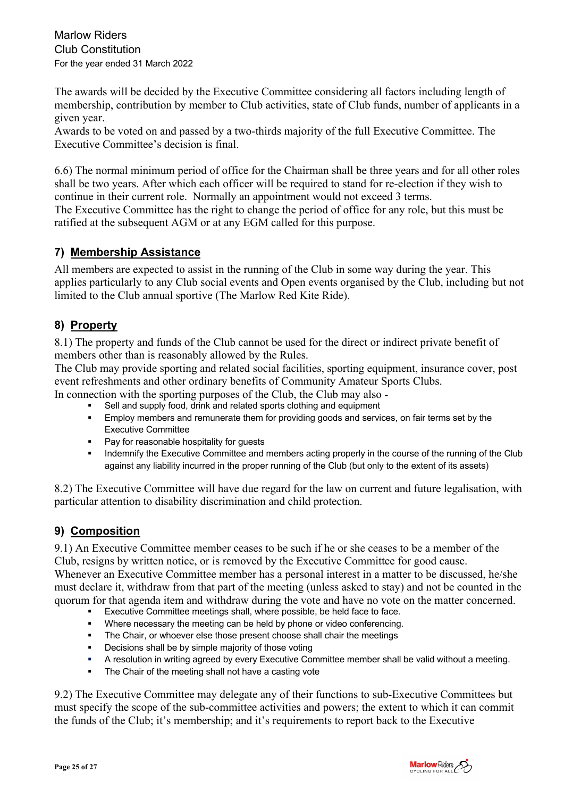Marlow Riders Club Constitution For the year ended 31 March 2022

The awards will be decided by the Executive Committee considering all factors including length of membership, contribution by member to Club activities, state of Club funds, number of applicants in a given year.

Awards to be voted on and passed by a two-thirds majority of the full Executive Committee. The Executive Committee's decision is final.

6.6) The normal minimum period of office for the Chairman shall be three years and for all other roles shall be two years. After which each officer will be required to stand for re-election if they wish to continue in their current role. Normally an appointment would not exceed 3 terms. The Executive Committee has the right to change the period of office for any role, but this must be ratified at the subsequent AGM or at any EGM called for this purpose.

## **7) Membership Assistance**

All members are expected to assist in the running of the Club in some way during the year. This applies particularly to any Club social events and Open events organised by the Club, including but not limited to the Club annual sportive (The Marlow Red Kite Ride).

## **8) Property**

8.1) The property and funds of the Club cannot be used for the direct or indirect private benefit of members other than is reasonably allowed by the Rules.

The Club may provide sporting and related social facilities, sporting equipment, insurance cover, post event refreshments and other ordinary benefits of Community Amateur Sports Clubs. In connection with the sporting purposes of the Club, the Club may also -

- Sell and supply food, drink and related sports clothing and equipment
- ! Employ members and remunerate them for providing goods and services, on fair terms set by the Executive Committee
- Pay for reasonable hospitality for quests
- " Indemnify the Executive Committee and members acting properly in the course of the running of the Club against any liability incurred in the proper running of the Club (but only to the extent of its assets)

8.2) The Executive Committee will have due regard for the law on current and future legalisation, with particular attention to disability discrimination and child protection.

# **9) Composition**

9.1) An Executive Committee member ceases to be such if he or she ceases to be a member of the Club, resigns by written notice, or is removed by the Executive Committee for good cause.

Whenever an Executive Committee member has a personal interest in a matter to be discussed, he/she must declare it, withdraw from that part of the meeting (unless asked to stay) and not be counted in the quorum for that agenda item and withdraw during the vote and have no vote on the matter concerned.

- Executive Committee meetings shall, where possible, be held face to face.
- ! Where necessary the meeting can be held by phone or video conferencing.
- ! The Chair, or whoever else those present choose shall chair the meetings
- ! Decisions shall be by simple majority of those voting
- ! A resolution in writing agreed by every Executive Committee member shall be valid without a meeting.
- The Chair of the meeting shall not have a casting vote

9.2) The Executive Committee may delegate any of their functions to sub-Executive Committees but must specify the scope of the sub-committee activities and powers; the extent to which it can commit the funds of the Club; it's membership; and it's requirements to report back to the Executive

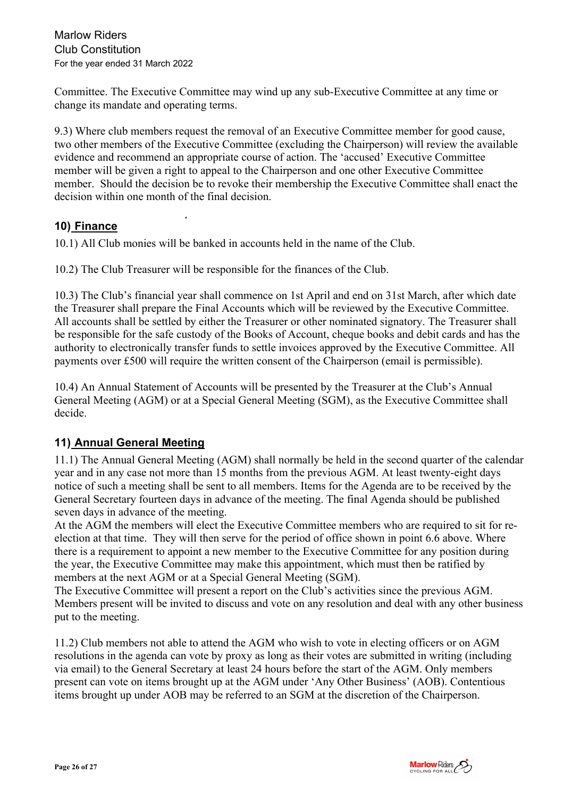Marlow Riders Club Constitution For the year ended 31 March 2022

Committee. The Executive Committee may wind up any sub-Executive Committee at any time or change its mandate and operating terms.

9.3) Where club members request the removal of an Executive Committee member for good cause, two other members of the Executive Committee (excluding the Chairperson) will review the available evidence and recommend an appropriate course of action. The 'accused' Executive Committee member will be given a right to appeal to the Chairperson and one other Executive Committee member. Should the decision be to revoke their membership the Executive Committee shall enact the decision within one month of the final decision.

### **10) Finance**

10.1) All Club monies will be banked in accounts held in the name of the Club.

10.2) The Club Treasurer will be responsible for the finances of the Club.

10.3) The Club's financial year shall commence on 1st April and end on 31st March, after which date the Treasurer shall prepare the Final Accounts which will be reviewed by the Executive Committee. All accounts shall be settled by either the Treasurer or other nominated signatory. The Treasurer shall be responsible for the safe custody of the Books of Account, cheque books and debit cards and has the authority to electronically transfer funds to settle invoices approved by the Executive Committee. All payments over £500 will require the written consent of the Chairperson (email is permissible).

10.4) An Annual Statement of Accounts will be presented by the Treasurer at the Club's Annual General Meeting (AGM) or at a Special General Meeting (SGM), as the Executive Committee shall decide.

### **11) Annual General Meeting**

11.1) The Annual General Meeting (AGM) shall normally be held in the second quarter of the calendar year and in any case not more than 15 months from the previous AGM. At least twenty-eight days notice of such a meeting shall be sent to all members. Items for the Agenda are to be received by the General Secretary fourteen days in advance of the meeting. The final Agenda should be published seven days in advance of the meeting.

At the AGM the members will elect the Executive Committee members who are required to sit for reelection at that time. They will then serve for the period of office shown in point 6.6 above. Where there is a requirement to appoint a new member to the Executive Committee for any position during the year, the Executive Committee may make this appointment, which must then be ratified by members at the next AGM or at a Special General Meeting (SGM).

The Executive Committee will present a report on the Club's activities since the previous AGM. Members present will be invited to discuss and vote on any resolution and deal with any other business put to the meeting.

11.2) Club members not able to attend the AGM who wish to vote in electing officers or on AGM resolutions in the agenda can vote by proxy as long as their votes are submitted in writing (including via email) to the General Secretary at least 24 hours before the start of the AGM. Only members present can vote on items brought up at the AGM under 'Any Other Business' (AOB). Contentious items brought up under AOB may be referred to an SGM at the discretion of the Chairperson.